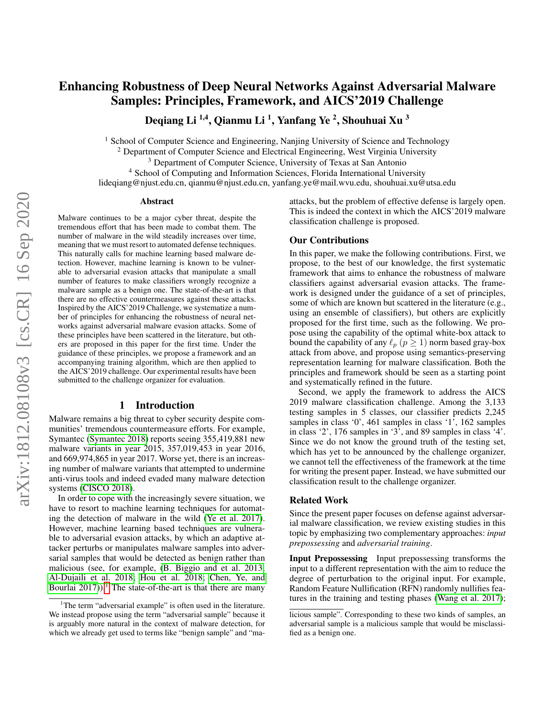# Enhancing Robustness of Deep Neural Networks Against Adversarial Malware Samples: Principles, Framework, and AICS'2019 Challenge

Deqiang Li <sup>1,4</sup>, Qianmu Li <sup>1</sup>, Yanfang Ye <sup>2</sup>, Shouhuai Xu <sup>3</sup>

<sup>1</sup> School of Computer Science and Engineering, Nanjing University of Science and Technology

 $2$  Department of Computer Science and Electrical Engineering, West Virginia University

<sup>3</sup> Department of Computer Science, University of Texas at San Antonio

<sup>4</sup> School of Computing and Information Sciences, Florida International University

lideqiang@njust.edu.cn, qianmu@njust.edu.cn, yanfang.ye@mail.wvu.edu, shouhuai.xu@utsa.edu

#### Abstract

Malware continues to be a major cyber threat, despite the tremendous effort that has been made to combat them. The number of malware in the wild steadily increases over time, meaning that we must resort to automated defense techniques. This naturally calls for machine learning based malware detection. However, machine learning is known to be vulnerable to adversarial evasion attacks that manipulate a small number of features to make classifiers wrongly recognize a malware sample as a benign one. The state-of-the-art is that there are no effective countermeasures against these attacks. Inspired by the AICS'2019 Challenge, we systematize a number of principles for enhancing the robustness of neural networks against adversarial malware evasion attacks. Some of these principles have been scattered in the literature, but others are proposed in this paper for the first time. Under the guidance of these principles, we propose a framework and an accompanying training algorithm, which are then applied to the AICS'2019 challenge. Our experimental results have been submitted to the challenge organizer for evaluation.

## 1 Introduction

Malware remains a big threat to cyber security despite communities' tremendous countermeasure efforts. For example, Symantec [\(Symantec 2018\)](#page-7-0) reports seeing 355,419,881 new malware variants in year 2015, 357,019,453 in year 2016, and 669,974,865 in year 2017. Worse yet, there is an increasing number of malware variants that attempted to undermine anti-virus tools and indeed evaded many malware detection systems [\(CISCO 2018\)](#page-7-1).

In order to cope with the increasingly severe situation, we have to resort to machine learning techniques for automating the detection of malware in the wild [\(Ye et al. 2017\)](#page-8-0). However, machine learning based techniques are vulnerable to adversarial evasion attacks, by which an adaptive attacker perturbs or manipulates malware samples into adversarial samples that would be detected as benign rather than malicious (see, for example, [\(B. Biggio and et al. 2013;](#page-6-0) [Al-Dujaili et al. 2018;](#page-6-1) [Hou et al. 2018;](#page-7-2) [Chen, Ye, and](#page-7-3) Bourlai  $2017$  $2017$  $2017$ )).<sup>1</sup> The state-of-the-art is that there are many attacks, but the problem of effective defense is largely open. This is indeed the context in which the AICS'2019 malware classification challenge is proposed.

### Our Contributions

In this paper, we make the following contributions. First, we propose, to the best of our knowledge, the first systematic framework that aims to enhance the robustness of malware classifiers against adversarial evasion attacks. The framework is designed under the guidance of a set of principles, some of which are known but scattered in the literature (e.g., using an ensemble of classifiers), but others are explicitly proposed for the first time, such as the following. We propose using the capability of the optimal white-box attack to bound the capability of any  $\ell_p$  ( $p \ge 1$ ) norm based gray-box attack from above, and propose using semantics-preserving representation learning for malware classification. Both the principles and framework should be seen as a starting point and systematically refined in the future.

Second, we apply the framework to address the AICS 2019 malware classification challenge. Among the 3,133 testing samples in 5 classes, our classifier predicts 2,245 samples in class '0', 461 samples in class '1', 162 samples in class '2', 176 samples in '3', and 89 samples in class '4'. Since we do not know the ground truth of the testing set, which has yet to be announced by the challenge organizer, we cannot tell the effectiveness of the framework at the time for writing the present paper. Instead, we have submitted our classification result to the challenge organizer.

#### Related Work

Since the present paper focuses on defense against adversarial malware classification, we review existing studies in this topic by emphasizing two complementary approaches: *input prepossessing* and *adversarial training*.

Input Prepossessing Input prepossessing transforms the input to a different representation with the aim to reduce the degree of perturbation to the original input. For example, Random Feature Nullification (RFN) randomly nullifies features in the training and testing phases [\(Wang et al. 2017\)](#page-7-4);

<span id="page-0-0"></span><sup>&</sup>lt;sup>1</sup>The term "adversarial example" is often used in the literature. We instead propose using the term "adversarial sample" because it is arguably more natural in the context of malware detection, for which we already get used to terms like "benign sample" and "ma-

licious sample". Corresponding to these two kinds of samples, an adversarial sample is a malicious sample that would be misclassified as a benign one.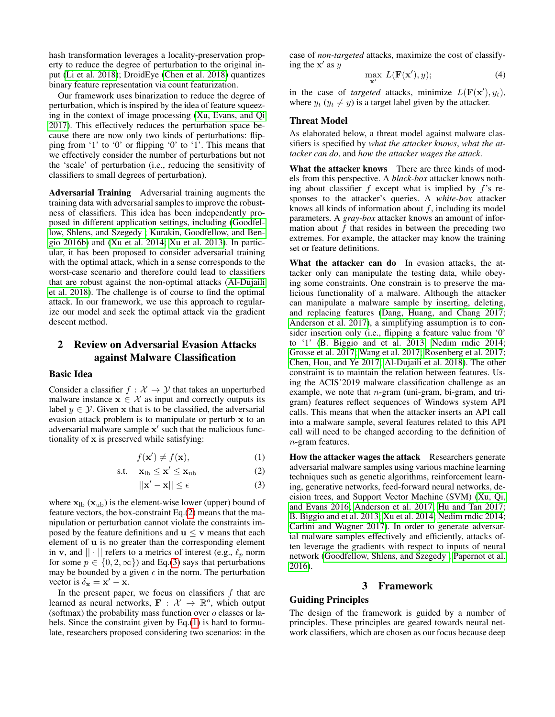hash transformation leverages a locality-preservation property to reduce the degree of perturbation to the original input [\(Li et al. 2018\)](#page-7-5); DroidEye [\(Chen et al. 2018\)](#page-7-6) quantizes binary feature representation via count featurization.

Our framework uses binarization to reduce the degree of perturbation, which is inspired by the idea of feature squeezing in the context of image processing [\(Xu, Evans, and Qi](#page-8-1) [2017\)](#page-8-1). This effectively reduces the perturbation space because there are now only two kinds of perturbations: flipping from '1' to '0' or flipping '0' to '1'. This means that we effectively consider the number of perturbations but not the 'scale' of perturbation (i.e., reducing the sensitivity of classifiers to small degrees of perturbation).

Adversarial Training Adversarial training augments the training data with adversarial samples to improve the robustness of classifiers. This idea has been independently proposed in different application settings, including [\(Goodfel](#page-7-7)[low, Shlens, and Szegedy ;](#page-7-7) [Kurakin, Goodfellow, and Ben](#page-7-8)[gio 2016b\)](#page-7-8) and [\(Xu et al. 2014;](#page-7-9) [Xu et al. 2013\)](#page-7-10). In particular, it has been proposed to consider adversarial training with the optimal attack, which in a sense corresponds to the worst-case scenario and therefore could lead to classifiers that are robust against the non-optimal attacks [\(Al-Dujaili](#page-6-1) [et al. 2018\)](#page-6-1). The challenge is of course to find the optimal attack. In our framework, we use this approach to regularize our model and seek the optimal attack via the gradient descent method.

# 2 Review on Adversarial Evasion Attacks against Malware Classification

#### Basic Idea

Consider a classifier  $f : \mathcal{X} \to \mathcal{Y}$  that takes an unperturbed malware instance  $x \in \mathcal{X}$  as input and correctly outputs its label  $y \in \mathcal{Y}$ . Given x that is to be classified, the adversarial evasion attack problem is to manipulate or perturb x to an adversarial malware sample  $x'$  such that the malicious functionality of x is preserved while satisfying:

$$
f(\mathbf{x}') \neq f(\mathbf{x}),\tag{1}
$$

$$
\text{s.t.} \quad \mathbf{x}_{\text{lb}} \leq \mathbf{x}' \leq \mathbf{x}_{\text{ub}} \tag{2}
$$

$$
||\mathbf{x}' - \mathbf{x}|| \le \epsilon \tag{3}
$$

where  $x_{\text{lb}} (x_{\text{ub}})$  is the element-wise lower (upper) bound of feature vectors, the box-constraint Eq.[\(2\)](#page-1-0) means that the manipulation or perturbation cannot violate the constraints imposed by the feature definitions and  $u \le v$  means that each element of u is no greater than the corresponding element in **v**, and  $|| \cdot ||$  refers to a metrics of interest (e.g.,  $\ell_p$  norm for some  $p \in \{0, 2, \infty\}$  and Eq.[\(3\)](#page-1-1) says that perturbations may be bounded by a given  $\epsilon$  in the norm. The perturbation vector is  $\delta_{\mathbf{x}} = \mathbf{x}' - \mathbf{x}$ .

In the present paper, we focus on classifiers  $f$  that are learned as neural networks,  $\mathbf{F} : \mathcal{X} \to \mathbb{R}^o$ , which output (softmax) the probability mass function over  $o$  classes or labels. Since the constraint given by Eq.[\(1\)](#page-1-2) is hard to formulate, researchers proposed considering two scenarios: in the case of *non-targeted* attacks, maximize the cost of classifying the  $x'$  as  $y$ 

$$
\max_{\mathbf{x}'} L(\mathbf{F}(\mathbf{x}'), y); \tag{4}
$$

in the case of *targeted* attacks, minimize  $L(\mathbf{F}(\mathbf{x}'), y_t)$ , where  $y_t$  ( $y_t \neq y$ ) is a target label given by the attacker.

## Threat Model

As elaborated below, a threat model against malware classifiers is specified by *what the attacker knows*, *what the attacker can do*, and *how the attacker wages the attack*.

What the attacker knows There are three kinds of models from this perspective. A *black-box* attacker knows nothing about classifier  $f$  except what is implied by  $f$ 's responses to the attacker's queries. A *white-box* attacker knows all kinds of information about  $f$ , including its model parameters. A *gray-box* attacker knows an amount of information about  $f$  that resides in between the preceding two extremes. For example, the attacker may know the training set or feature definitions.

What the attacker can do In evasion attacks, the attacker only can manipulate the testing data, while obeying some constraints. One constrain is to preserve the malicious functionality of a malware. Although the attacker can manipulate a malware sample by inserting, deleting, and replacing features [\(Dang, Huang, and Chang 2017;](#page-7-11) [Anderson et al. 2017\)](#page-6-2), a simplifying assumption is to consider insertion only (i.e., flipping a feature value from '0' to '1' [\(B. Biggio and et al. 2013;](#page-6-0) [Nedim rndic 2014;](#page-7-12) [Grosse et al. 2017;](#page-7-13) [Wang et al. 2017;](#page-7-4) [Rosenberg et al. 2017;](#page-7-14) [Chen, Hou, and Ye 2017;](#page-7-15) [Al-Dujaili et al. 2018\)](#page-6-1). The other constraint is to maintain the relation between features. Using the ACIS'2019 malware classification challenge as an example, we note that  $n$ -gram (uni-gram, bi-gram, and trigram) features reflect sequences of Windows system API calls. This means that when the attacker inserts an API call into a malware sample, several features related to this API call will need to be changed according to the definition of n-gram features.

<span id="page-1-2"></span><span id="page-1-1"></span><span id="page-1-0"></span>How the attacker wages the attack Researchers generate adversarial malware samples using various machine learning techniques such as genetic algorithms, reinforcement learning, generative networks, feed-forward neural networks, decision trees, and Support Vector Machine (SVM) [\(Xu, Qi,](#page-8-2) [and Evans 2016;](#page-8-2) [Anderson et al. 2017;](#page-6-2) [Hu and Tan 2017;](#page-7-16) [B. Biggio and et al. 2013;](#page-6-0) [Xu et al. 2014;](#page-7-9) [Nedim rndic 2014;](#page-7-12) [Carlini and Wagner 2017\)](#page-6-3). In order to generate adversarial malware samples effectively and efficiently, attacks often leverage the gradients with respect to inputs of neural network [\(Goodfellow, Shlens, and Szegedy ;](#page-7-7) [Papernot et al.](#page-7-17) [2016\)](#page-7-17).

## 3 Framework

### Guiding Principles

The design of the framework is guided by a number of principles. These principles are geared towards neural network classifiers, which are chosen as our focus because deep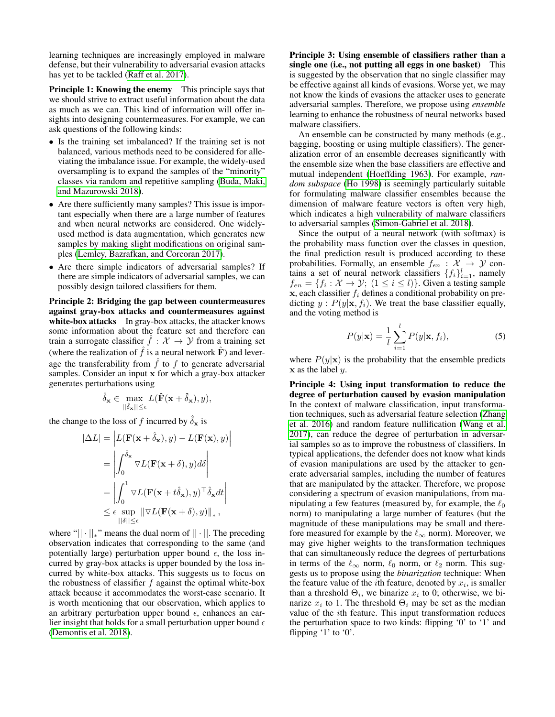learning techniques are increasingly employed in malware defense, but their vulnerability to adversarial evasion attacks has yet to be tackled [\(Raff et al. 2017\)](#page-7-18).

Principle 1: Knowing the enemy This principle says that we should strive to extract useful information about the data as much as we can. This kind of information will offer insights into designing countermeasures. For example, we can ask questions of the following kinds:

- Is the training set imbalanced? If the training set is not balanced, various methods need to be considered for alleviating the imbalance issue. For example, the widely-used oversampling is to expand the samples of the "minority" classes via random and repetitive sampling [\(Buda, Maki,](#page-6-4) [and Mazurowski 2018\)](#page-6-4).
- Are there sufficiently many samples? This issue is important especially when there are a large number of features and when neural networks are considered. One widelyused method is data augmentation, which generates new samples by making slight modifications on original samples [\(Lemley, Bazrafkan, and Corcoran 2017\)](#page-7-19).
- Are there simple indicators of adversarial samples? If there are simple indicators of adversarial samples, we can possibly design tailored classifiers for them.

Principle 2: Bridging the gap between countermeasures against gray-box attacks and countermeasures against white-box attacks In gray-box attacks, the attacker knows some information about the feature set and therefore can train a surrogate classifier  $f : \mathcal{X} \to \mathcal{Y}$  from a training set (where the realization of  $\hat{f}$  is a neural network  $\hat{F}$ ) and leverage the transferability from  $\hat{f}$  to f to generate adversarial samples. Consider an input x for which a gray-box attacker generates perturbations using

$$
\hat{\delta}_{\mathbf{x}} \in \max_{||\hat{\delta}_{\mathbf{x}}|| \leq \epsilon} L(\hat{\mathbf{F}}(\mathbf{x} + \hat{\delta}_{\mathbf{x}}), y),
$$

the change to the loss of f incurred by  $\delta_{\mathbf{x}}$  is

$$
|\Delta L| = \left| L(\mathbf{F}(\mathbf{x} + \hat{\delta}_{\mathbf{x}}), y) - L(\mathbf{F}(\mathbf{x}), y) \right|
$$
  
\n
$$
= \left| \int_0^{\hat{\delta}_{\mathbf{x}}} \nabla L(\mathbf{F}(\mathbf{x} + \delta), y) d\delta \right|
$$
  
\n
$$
= \left| \int_0^1 \nabla L(\mathbf{F}(\mathbf{x} + t\hat{\delta}_{\mathbf{x}}), y)^\top \hat{\delta}_{\mathbf{x}} dt \right|
$$
  
\n
$$
\leq \epsilon \sup_{||\delta|| \leq \epsilon} \|\nabla L(\mathbf{F}(\mathbf{x} + \delta), y)\|_{*},
$$

where " $|| \cdot ||_*$ " means the dual norm of  $|| \cdot ||$ . The preceding observation indicates that corresponding to the same (and potentially large) perturbation upper bound  $\epsilon$ , the loss incurred by gray-box attacks is upper bounded by the loss incurred by white-box attacks. This suggests us to focus on the robustness of classifier  $f$  against the optimal white-box attack because it accommodates the worst-case scenario. It is worth mentioning that our observation, which applies to an arbitrary perturbation upper bound  $\epsilon$ , enhances an earlier insight that holds for a small perturbation upper bound  $\epsilon$ [\(Demontis et al. 2018\)](#page-7-20).

Principle 3: Using ensemble of classifiers rather than a single one (i.e., not putting all eggs in one basket) This is suggested by the observation that no single classifier may be effective against all kinds of evasions. Worse yet, we may not know the kinds of evasions the attacker uses to generate adversarial samples. Therefore, we propose using *ensemble* learning to enhance the robustness of neural networks based malware classifiers.

An ensemble can be constructed by many methods (e.g., bagging, boosting or using multiple classifiers). The generalization error of an ensemble decreases significantly with the ensemble size when the base classifiers are effective and mutual independent [\(Hoeffding 1963\)](#page-7-21). For example, *random subspace* [\(Ho 1998\)](#page-7-22) is seemingly particularly suitable for formulating malware classifier ensembles because the dimension of malware feature vectors is often very high, which indicates a high vulnerability of malware classifiers to adversarial samples [\(Simon-Gabriel et al. 2018\)](#page-7-23).

Since the output of a neural network (with softmax) is the probability mass function over the classes in question, the final prediction result is produced according to these probabilities. Formally, an ensemble  $f_{en} : \mathcal{X} \rightarrow \mathcal{Y}$  contains a set of neural network classifiers  $\{f_i\}_{i=1}^l$ , namely  $f_{en} = \{f_i : \mathcal{X} \to \mathcal{Y}; \ (1 \leq i \leq l)\}.$  Given a testing sample  $x$ , each classifier  $f_i$  defines a conditional probability on predicting  $y : P(y|\mathbf{x}, f_i)$ . We treat the base classifier equally, and the voting method is

$$
P(y|\mathbf{x}) = \frac{1}{l} \sum_{i=1}^{l} P(y|\mathbf{x}, f_i),
$$
 (5)

where  $P(y|\mathbf{x})$  is the probability that the ensemble predicts  $x$  as the label  $y$ .

Principle 4: Using input transformation to reduce the degree of perturbation caused by evasion manipulation In the context of malware classification, input transformation techniques, such as adversarial feature selection [\(Zhang](#page-8-3) [et al. 2016\)](#page-8-3) and random feature nullification [\(Wang et al.](#page-7-4) [2017\)](#page-7-4), can reduce the degree of perturbation in adversarial samples so as to improve the robustness of classifiers. In typical applications, the defender does not know what kinds of evasion manipulations are used by the attacker to generate adversarial samples, including the number of features that are manipulated by the attacker. Therefore, we propose considering a spectrum of evasion manipulations, from manipulating a few features (measured by, for example, the  $\ell_0$ norm) to manipulating a large number of features (but the magnitude of these manipulations may be small and therefore measured for example by the  $\ell_{\infty}$  norm). Moreover, we may give higher weights to the transformation techniques that can simultaneously reduce the degrees of perturbations in terms of the  $\ell_{\infty}$  norm,  $\ell_0$  norm, or  $\ell_2$  norm. This suggests us to propose using the *binarization* technique: When the feature value of the *i*th feature, denoted by  $x_i$ , is smaller than a threshold  $\Theta_i$ , we binarize  $x_i$  to 0; otherwise, we binarize  $x_i$  to 1. The threshold  $\Theta_i$  may be set as the median value of the ith feature. This input transformation reduces the perturbation space to two kinds: flipping '0' to '1' and flipping '1' to '0'.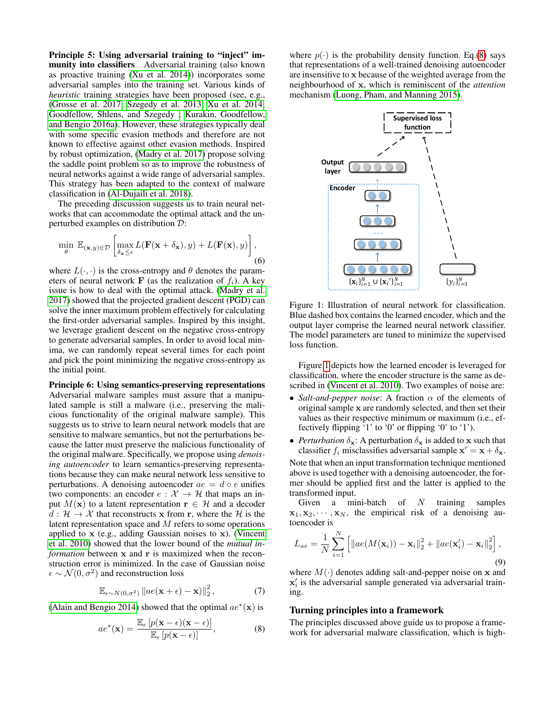Principle 5: Using adversarial training to "inject" immunity into classifiers Adversarial training (also known as proactive training [\(Xu et al. 2014\)](#page-7-9)) incorporates some adversarial samples into the training set. Various kinds of *heuristic* training strategies have been proposed (see, e.g., [\(Grosse et al. 2017;](#page-7-13) [Szegedy et al. 2013;](#page-7-24) [Xu et al. 2014;](#page-7-9) [Goodfellow, Shlens, and Szegedy ;](#page-7-7) [Kurakin, Goodfellow,](#page-7-25) [and Bengio 2016a\)](#page-7-25). However, these strategies typically deal with some specific evasion methods and therefore are not known to effective against other evasion methods. Inspired by robust optimization, [\(Madry et al. 2017\)](#page-7-26) propose solving the saddle point problem so as to improve the robustness of neural networks against a wide range of adversarial samples. This strategy has been adapted to the context of malware classification in [\(Al-Dujaili et al. 2018\)](#page-6-1).

The preceding discussion suggests us to train neural networks that can accommodate the optimal attack and the unperturbed examples on distribution D:

<span id="page-3-3"></span>
$$
\min_{\theta} \mathbb{E}_{(\mathbf{x},y)\in\mathcal{D}} \left[ \max_{\delta_{\mathbf{x}} \leq \epsilon} L(\mathbf{F}(\mathbf{x} + \delta_{\mathbf{x}}), y) + L(\mathbf{F}(\mathbf{x}), y) \right],
$$
\n(6)

where  $L(\cdot, \cdot)$  is the cross-entropy and  $\theta$  denotes the parameters of neural network **F** (as the realization of  $f_i$ ). A key issue is how to deal with the optimal attack. [\(Madry et al.](#page-7-26) [2017\)](#page-7-26) showed that the projected gradient descent (PGD) can solve the inner maximum problem effectively for calculating the first-order adversarial samples. Inspired by this insight, we leverage gradient descent on the negative cross-entropy to generate adversarial samples. In order to avoid local minima, we can randomly repeat several times for each point and pick the point minimizing the negative cross-entropy as the initial point.

Principle 6: Using semantics-preserving representations Adversarial malware samples must assure that a manipulated sample is still a malware (i.e., preserving the malicious functionality of the original malware sample). This suggests us to strive to learn neural network models that are sensitive to malware semantics, but not the perturbations because the latter must preserve the malicious functionality of the original malware. Specifically, we propose using *denoising autoencoder* to learn semantics-preserving representations because they can make neural network less sensitive to perturbations. A denoising autoencoder  $ae = d \circ e$  unifies two components: an encoder  $e : \mathcal{X} \to \mathcal{H}$  that maps an input  $M(\mathbf{x})$  to a latent representation  $\mathbf{r} \in \mathcal{H}$  and a decoder  $d : \mathcal{H} \to \mathcal{X}$  that reconstructs x from r, where the  $\mathcal{H}$  is the latent representation space and M refers to some operations applied to x (e.g., adding Gaussian noises to x). [\(Vincent](#page-7-27) [et al. 2010\)](#page-7-27) showed that the lower bound of the *mutual information* between x and r is maximized when the reconstruction error is minimized. In the case of Gaussian noise  $\epsilon \sim \mathcal{N}(0, \sigma^2)$  and reconstruction loss

$$
\mathbb{E}_{\epsilon \sim N(0,\sigma^2)} \|ae(\mathbf{x} + \epsilon) - \mathbf{x})\|_2^2, \tag{7}
$$

[\(Alain and Bengio 2014\)](#page-6-5) showed that the optimal  $ae^*(\mathbf{x})$  is

<span id="page-3-0"></span>
$$
ae^{\ast}(\mathbf{x}) = \frac{\mathbb{E}_{\epsilon}[p(\mathbf{x} - \epsilon)(\mathbf{x} - \epsilon)]}{\mathbb{E}_{\epsilon}[p(\mathbf{x} - \epsilon)]},
$$
(8)

where  $p(\cdot)$  is the probability density function. Eq.[\(8\)](#page-3-0) says that representations of a well-trained denoising autoencoder are insensitive to x because of the weighted average from the neighbourhood of x, which is reminiscent of the *attention* mechanism [\(Luong, Pham, and Manning 2015\)](#page-7-28).

<span id="page-3-1"></span>

Figure 1: Illustration of neural network for classification. Blue dashed box contains the learned encoder, which and the output layer comprise the learned neural network classifier. The model parameters are tuned to minimize the supervised loss function.

Figure [1](#page-3-1) depicts how the learned encoder is leveraged for classification, where the encoder structure is the same as described in [\(Vincent et al. 2010\)](#page-7-27). Two examples of noise are:

- *Salt-and-pepper noise*: A fraction  $\alpha$  of the elements of original sample x are randomly selected, and then set their values as their respective minimum or maximum (i.e., effectively flipping '1' to '0' or flipping '0' to '1').
- *Perturbation*  $\delta_{\mathbf{x}}$ : A perturbation  $\delta_{\mathbf{x}}$  is added to x such that classifier  $f_i$  misclassifies adversarial sample  $\mathbf{x}' = \mathbf{x} + \delta_{\mathbf{x}}$ .

Note that when an input transformation technique mentioned above is used together with a denoising autoencoder, the former should be applied first and the latter is applied to the transformed input.

Given a mini-batch of  $N$  training samples  $x_1, x_2, \dots, x_N$ , the empirical risk of a denoising autoencoder is

<span id="page-3-2"></span>
$$
L_{ae} = \frac{1}{N} \sum_{i=1}^{N} \left[ \left\| ae(M(\mathbf{x}_i)) - \mathbf{x}_i \right\|_2^2 + \left\| ae(\mathbf{x}'_i) - \mathbf{x}_i \right\|_2^2 \right],
$$
\n(9)

where  $M(\cdot)$  denotes adding salt-and-pepper noise on x and  $\mathbf{x}'_i$  is the adversarial sample generated via adversarial training.

## Turning principles into a framework

The principles discussed above guide us to propose a framework for adversarial malware classification, which is high-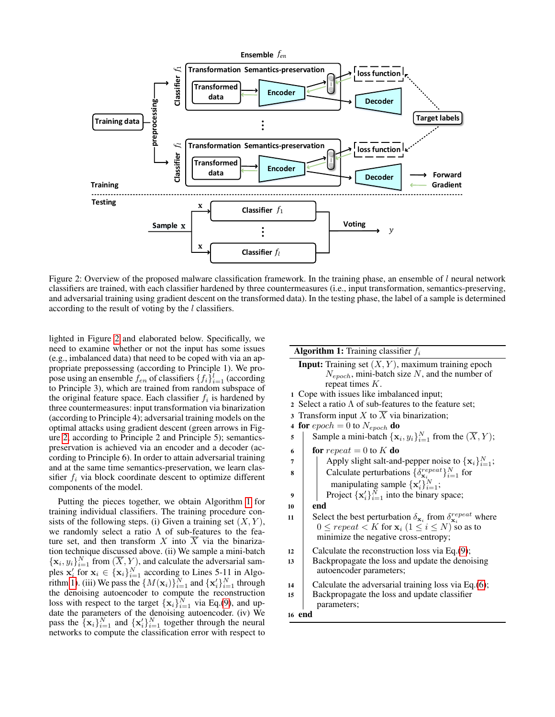<span id="page-4-0"></span>

Figure 2: Overview of the proposed malware classification framework. In the training phase, an ensemble of  $l$  neural network classifiers are trained, with each classifier hardened by three countermeasures (i.e., input transformation, semantics-preserving, and adversarial training using gradient descent on the transformed data). In the testing phase, the label of a sample is determined according to the result of voting by the l classifiers.

lighted in Figure [2](#page-4-0) and elaborated below. Specifically, we need to examine whether or not the input has some issues (e.g., imbalanced data) that need to be coped with via an appropriate prepossessing (according to Principle 1). We propose using an ensemble  $f_{en}$  of classifiers  $\{f_i\}_{i=1}^l$  (according to Principle 3), which are trained from random subspace of the original feature space. Each classifier  $f_i$  is hardened by three countermeasures: input transformation via binarization (according to Principle 4); adversarial training models on the optimal attacks using gradient descent (green arrows in Figure [2,](#page-4-0) according to Principle 2 and Principle 5); semanticspreservation is achieved via an encoder and a decoder (according to Principle 6). In order to attain adversarial training and at the same time semantics-preservation, we learn classifier  $f_i$  via block coordinate descent to optimize different components of the model.

Putting the pieces together, we obtain Algorithm [1](#page-4-1) for training individual classifiers. The training procedure consists of the following steps. (i) Given a training set  $(X, Y)$ , we randomly select a ratio  $\Lambda$  of sub-features to the feature set, and then transform X into  $\overline{X}$  via the binarization technique discussed above. (ii) We sample a mini-batch  ${x_i, y_i}_{i=1}^N$  from  $(\overline{X}, Y)$ , and calculate the adversarial samples  $\mathbf{x}'_i$  for  $\mathbf{x}_i \in {\{\mathbf{x}_i\}}_{i=1}^N$  according to Lines 5-11 in Algo-rithm [1\)](#page-4-1). (iii) We pass the  $\{M(\mathbf{x}_i)\}_{i=1}^N$  and  $\{\mathbf{x}'_i\}_{i=1}^N$  through the denoising autoencoder to compute the reconstruction loss with respect to the target  $\{x_i\}_{i=1}^N$  via Eq.[\(9\)](#page-3-2), and update the parameters of the denoising autoencoder. (iv) We pass the  $\{\mathbf x_i\}_{i=1}^N$  and  $\{\mathbf x_i'\}_{i=1}^N$  together through the neural networks to compute the classification error with respect to

### **Algorithm 1:** Training classifier  $f_i$

**Input:** Training set  $(X, Y)$ , maximum training epoch  $N_{encoder}$ , mini-batch size N, and the number of repeat times  $K$ . <sup>1</sup> Cope with issues like imbalanced input; 2 Select a ratio  $\Lambda$  of sub-features to the feature set;

- 3 Transform input X to  $\overline{X}$  via binarization;
- 4 for  $epoch = 0$  to  $N_{epoch}$  do
- 5 Sample a mini-batch  $\{x_i, y_i\}_{i=1}^N$  from the  $(\overline{X}, Y)$ ;
- 6 for repeat = 0 to K do
- 7 | Apply slight salt-and-pepper noise to  $\{x_i\}_{i=1}^N$ ;
- **8** Calculate perturbations  $\{\delta_{\mathbf{x}_i}^{repeat}\}_{i=1}^N$  for manipulating sample  $\{\mathbf x_i'\}_{i=1}^N$ ;

9 | Project  $\{x_i'\}_{i=1}^N$  into the binary space;

10 end

- 11 Select the best perturbation  $\delta_{\mathbf{x}_i}$  from  $\delta_{\mathbf{x}_i}^{repeat}$  where  $0 \leq repeat < K$  for  $\mathbf{x}_i$   $(1 \leq i \leq N)$  so as to minimize the negative cross-entropy;
- 12 Calculate the reconstruction loss via Eq. $(9)$ ;
- <sup>13</sup> Backpropagate the loss and update the denoising autoencoder parameters;
- 14 Calculate the adversarial training loss via Eq.  $(6)$ ;
- <sup>15</sup> Backpropagate the loss and update classifier parameters;

#### <span id="page-4-1"></span><sup>16</sup> end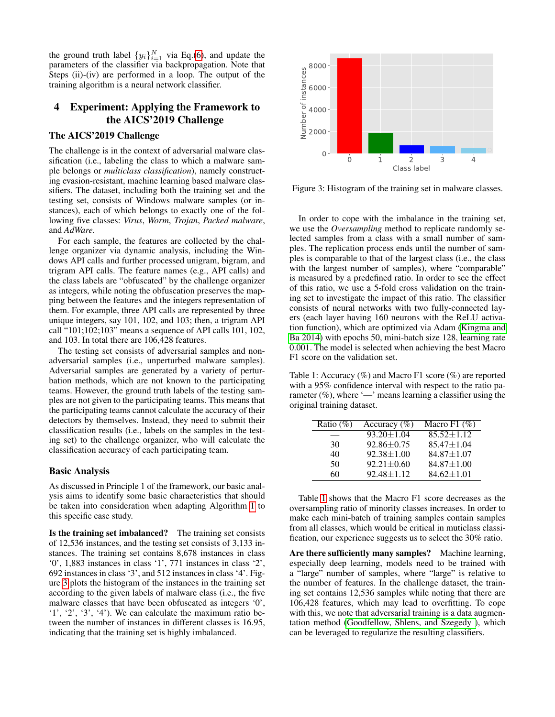the ground truth label  $\{y_i\}_{i=1}^N$  via Eq.[\(6\)](#page-3-3), and update the parameters of the classifier via backpropagation. Note that Steps (ii)-(iv) are performed in a loop. The output of the training algorithm is a neural network classifier.

# 4 Experiment: Applying the Framework to the AICS'2019 Challenge

## The AICS'2019 Challenge

The challenge is in the context of adversarial malware classification (i.e., labeling the class to which a malware sample belongs or *multiclass classification*), namely constructing evasion-resistant, machine learning based malware classifiers. The dataset, including both the training set and the testing set, consists of Windows malware samples (or instances), each of which belongs to exactly one of the following five classes: *Virus*, *Worm*, *Trojan*, *Packed malware*, and *AdWare*.

For each sample, the features are collected by the challenge organizer via dynamic analysis, including the Windows API calls and further processed unigram, bigram, and trigram API calls. The feature names (e.g., API calls) and the class labels are "obfuscated" by the challenge organizer as integers, while noting the obfuscation preserves the mapping between the features and the integers representation of them. For example, three API calls are represented by three unique integers, say 101, 102, and 103; then, a trigram API call "101;102;103" means a sequence of API calls 101, 102, and 103. In total there are 106,428 features.

The testing set consists of adversarial samples and nonadversarial samples (i.e., unperturbed malware samples). Adversarial samples are generated by a variety of perturbation methods, which are not known to the participating teams. However, the ground truth labels of the testing samples are not given to the participating teams. This means that the participating teams cannot calculate the accuracy of their detectors by themselves. Instead, they need to submit their classification results (i.e., labels on the samples in the testing set) to the challenge organizer, who will calculate the classification accuracy of each participating team.

## Basic Analysis

As discussed in Principle 1 of the framework, our basic analysis aims to identify some basic characteristics that should be taken into consideration when adapting Algorithm [1](#page-4-1) to this specific case study.

Is the training set imbalanced? The training set consists of 12,536 instances, and the testing set consists of 3,133 instances. The training set contains 8,678 instances in class '0', 1,883 instances in class '1', 771 instances in class '2', 692 instances in class '3', and 512 instances in class '4'. Figure [3](#page-5-0) plots the histogram of the instances in the training set according to the given labels of malware class (i.e., the five malware classes that have been obfuscated as integers '0', '1', '2', '3', '4'). We can calculate the maximum ratio between the number of instances in different classes is 16.95, indicating that the training set is highly imbalanced.

<span id="page-5-0"></span>

Figure 3: Histogram of the training set in malware classes.

In order to cope with the imbalance in the training set, we use the *Oversampling* method to replicate randomly selected samples from a class with a small number of samples. The replication process ends until the number of samples is comparable to that of the largest class (i.e., the class with the largest number of samples), where "comparable" is measured by a predefined ratio. In order to see the effect of this ratio, we use a 5-fold cross validation on the training set to investigate the impact of this ratio. The classifier consists of neural networks with two fully-connected layers (each layer having 160 neurons with the ReLU activation function), which are optimized via Adam [\(Kingma and](#page-7-29) [Ba 2014\)](#page-7-29) with epochs 50, mini-batch size 128, learning rate 0.001. The model is selected when achieving the best Macro F1 score on the validation set.

<span id="page-5-1"></span>Table 1: Accuracy (%) and Macro F1 score (%) are reported with a 95% confidence interval with respect to the ratio parameter  $(\%)$ , where '—' means learning a classifier using the original training dataset.

| Ratio $(\%)$ | Accuracy $(\% )$ | Macro F1 $(\%)$  |
|--------------|------------------|------------------|
|              | $93.20 \pm 1.04$ | $85.52 \pm 1.12$ |
| 30           | $92.86 \pm 0.75$ | $85.47 \pm 1.04$ |
| 40           | $92.38 \pm 1.00$ | $84.87 \pm 1.07$ |
| 50           | $92.21 \pm 0.60$ | $84.87 \pm 1.00$ |
| 60           | $92.48 \pm 1.12$ | $84.62 \pm 1.01$ |

Table [1](#page-5-1) shows that the Macro F1 score decreases as the oversampling ratio of minority classes increases. In order to make each mini-batch of training samples contain samples from all classes, which would be critical in muticlass classification, our experience suggests us to select the 30% ratio.

Are there sufficiently many samples? Machine learning, especially deep learning, models need to be trained with a "large" number of samples, where "large" is relative to the number of features. In the challenge dataset, the training set contains 12,536 samples while noting that there are 106,428 features, which may lead to overfitting. To cope with this, we note that adversarial training is a data augmentation method [\(Goodfellow, Shlens, and Szegedy \)](#page-7-7), which can be leveraged to regularize the resulting classifiers.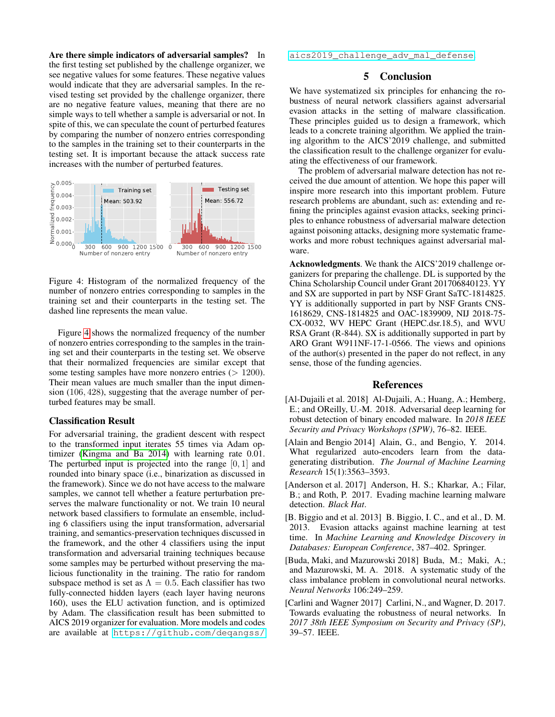Are there simple indicators of adversarial samples? In the first testing set published by the challenge organizer, we see negative values for some features. These negative values would indicate that they are adversarial samples. In the revised testing set provided by the challenge organizer, there are no negative feature values, meaning that there are no simple ways to tell whether a sample is adversarial or not. In spite of this, we can speculate the count of perturbed features by comparing the number of nonzero entries corresponding to the samples in the training set to their counterparts in the testing set. It is important because the attack success rate increases with the number of perturbed features.

<span id="page-6-6"></span>

Figure 4: Histogram of the normalized frequency of the number of nonzero entries corresponding to samples in the training set and their counterparts in the testing set. The dashed line represents the mean value.

Figure [4](#page-6-6) shows the normalized frequency of the number of nonzero entries corresponding to the samples in the training set and their counterparts in the testing set. We observe that their normalized frequencies are similar except that some testing samples have more nonzero entries  $(> 1200)$ . Their mean values are much smaller than the input dimension (106, 428), suggesting that the average number of perturbed features may be small.

### Classification Result

For adversarial training, the gradient descent with respect to the transformed input iterates 55 times via Adam optimizer [\(Kingma and Ba 2014\)](#page-7-29) with learning rate 0.01. The perturbed input is projected into the range  $[0, 1]$  and rounded into binary space (i.e., binarization as discussed in the framework). Since we do not have access to the malware samples, we cannot tell whether a feature perturbation preserves the malware functionality or not. We train 10 neural network based classifiers to formulate an ensemble, including 6 classifiers using the input transformation, adversarial training, and semantics-preservation techniques discussed in the framework, and the other 4 classifiers using the input transformation and adversarial training techniques because some samples may be perturbed without preserving the malicious functionality in the training. The ratio for random subspace method is set as  $\Lambda = 0.5$ . Each classifier has two fully-connected hidden layers (each layer having neurons 160), uses the ELU activation function, and is optimized by Adam. The classification result has been submitted to AICS 2019 organizer for evaluation. More models and codes are available at [https://github.com/deqangss/](https://github.com/deqangss/aics2019_challenge_adv_mal_defense)

[aics2019\\_challenge\\_adv\\_mal\\_defense](https://github.com/deqangss/aics2019_challenge_adv_mal_defense).

## 5 Conclusion

We have systematized six principles for enhancing the robustness of neural network classifiers against adversarial evasion attacks in the setting of malware classification. These principles guided us to design a framework, which leads to a concrete training algorithm. We applied the training algorithm to the AICS'2019 challenge, and submitted the classification result to the challenge organizer for evaluating the effectiveness of our framework.

The problem of adversarial malware detection has not received the due amount of attention. We hope this paper will inspire more research into this important problem. Future research problems are abundant, such as: extending and refining the principles against evasion attacks, seeking principles to enhance robustness of adversarial malware detection against poisoning attacks, designing more systematic frameworks and more robust techniques against adversarial malware.

Acknowledgments. We thank the AICS'2019 challenge organizers for preparing the challenge. DL is supported by the China Scholarship Council under Grant 201706840123. YY and SX are supported in part by NSF Grant SaTC-1814825. YY is additionally supported in part by NSF Grants CNS-1618629, CNS-1814825 and OAC-1839909, NIJ 2018-75- CX-0032, WV HEPC Grant (HEPC.dsr.18.5), and WVU RSA Grant (R-844). SX is additionally supported in part by ARO Grant W911NF-17-1-0566. The views and opinions of the author(s) presented in the paper do not reflect, in any sense, those of the funding agencies.

## References

- <span id="page-6-1"></span>[Al-Dujaili et al. 2018] Al-Dujaili, A.; Huang, A.; Hemberg, E.; and OReilly, U.-M. 2018. Adversarial deep learning for robust detection of binary encoded malware. In *2018 IEEE Security and Privacy Workshops (SPW)*, 76–82. IEEE.
- <span id="page-6-5"></span>[Alain and Bengio 2014] Alain, G., and Bengio, Y. 2014. What regularized auto-encoders learn from the datagenerating distribution. *The Journal of Machine Learning Research* 15(1):3563–3593.
- <span id="page-6-2"></span>[Anderson et al. 2017] Anderson, H. S.; Kharkar, A.; Filar, B.; and Roth, P. 2017. Evading machine learning malware detection. *Black Hat*.
- <span id="page-6-0"></span>[B. Biggio and et al. 2013] B. Biggio, I. C., and et al., D. M. 2013. Evasion attacks against machine learning at test time. In *Machine Learning and Knowledge Discovery in Databases: European Conference*, 387–402. Springer.
- <span id="page-6-4"></span>[Buda, Maki, and Mazurowski 2018] Buda, M.; Maki, A.; and Mazurowski, M. A. 2018. A systematic study of the class imbalance problem in convolutional neural networks. *Neural Networks* 106:249–259.
- <span id="page-6-3"></span>[Carlini and Wagner 2017] Carlini, N., and Wagner, D. 2017. Towards evaluating the robustness of neural networks. In *2017 38th IEEE Symposium on Security and Privacy (SP)*, 39–57. IEEE.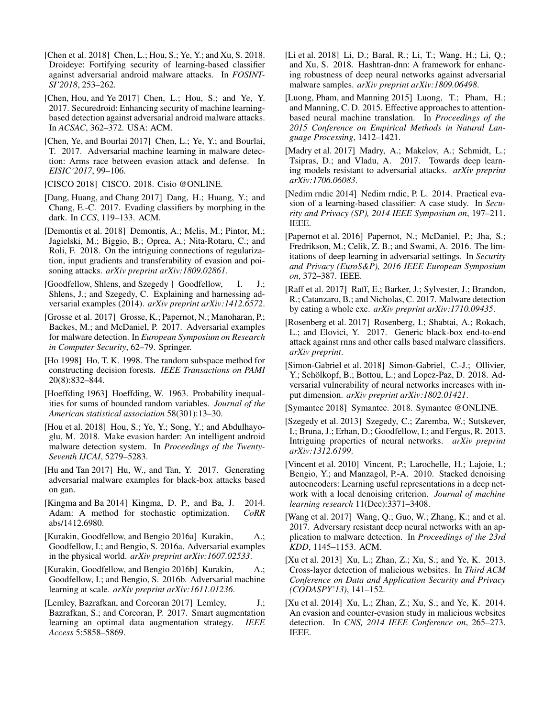- <span id="page-7-6"></span>[Chen et al. 2018] Chen, L.; Hou, S.; Ye, Y.; and Xu, S. 2018. Droideye: Fortifying security of learning-based classifier against adversarial android malware attacks. In *FOSINT-SI'2018*, 253–262.
- <span id="page-7-15"></span>[Chen, Hou, and Ye 2017] Chen, L.; Hou, S.; and Ye, Y. 2017. Securedroid: Enhancing security of machine learningbased detection against adversarial android malware attacks. In *ACSAC*, 362–372. USA: ACM.
- <span id="page-7-3"></span>[Chen, Ye, and Bourlai 2017] Chen, L.; Ye, Y.; and Bourlai, T. 2017. Adversarial machine learning in malware detection: Arms race between evasion attack and defense. In *EISIC'2017*, 99–106.

<span id="page-7-1"></span>[CISCO 2018] CISCO. 2018. Cisio @ONLINE.

- <span id="page-7-11"></span>[Dang, Huang, and Chang 2017] Dang, H.; Huang, Y.; and Chang, E.-C. 2017. Evading classifiers by morphing in the dark. In *CCS*, 119–133. ACM.
- <span id="page-7-20"></span>[Demontis et al. 2018] Demontis, A.; Melis, M.; Pintor, M.; Jagielski, M.; Biggio, B.; Oprea, A.; Nita-Rotaru, C.; and Roli, F. 2018. On the intriguing connections of regularization, input gradients and transferability of evasion and poisoning attacks. *arXiv preprint arXiv:1809.02861*.
- <span id="page-7-7"></span>[Goodfellow, Shlens, and Szegedy ] Goodfellow, I. J.; Shlens, J.; and Szegedy, C. Explaining and harnessing adversarial examples (2014). *arXiv preprint arXiv:1412.6572*.
- <span id="page-7-13"></span>[Grosse et al. 2017] Grosse, K.; Papernot, N.; Manoharan, P.; Backes, M.; and McDaniel, P. 2017. Adversarial examples for malware detection. In *European Symposium on Research in Computer Security*, 62–79. Springer.
- <span id="page-7-22"></span>[Ho 1998] Ho, T. K. 1998. The random subspace method for constructing decision forests. *IEEE Transactions on PAMI* 20(8):832–844.
- <span id="page-7-21"></span>[Hoeffding 1963] Hoeffding, W. 1963. Probability inequalities for sums of bounded random variables. *Journal of the American statistical association* 58(301):13–30.
- <span id="page-7-2"></span>[Hou et al. 2018] Hou, S.; Ye, Y.; Song, Y.; and Abdulhayoglu, M. 2018. Make evasion harder: An intelligent android malware detection system. In *Proceedings of the Twenty-Seventh IJCAI*, 5279–5283.
- <span id="page-7-16"></span>[Hu and Tan 2017] Hu, W., and Tan, Y. 2017. Generating adversarial malware examples for black-box attacks based on gan.
- <span id="page-7-29"></span>[Kingma and Ba 2014] Kingma, D. P., and Ba, J. 2014. Adam: A method for stochastic optimization. *CoRR* abs/1412.6980.
- <span id="page-7-25"></span>[Kurakin, Goodfellow, and Bengio 2016a] Kurakin, A.; Goodfellow, I.; and Bengio, S. 2016a. Adversarial examples in the physical world. *arXiv preprint arXiv:1607.02533*.
- <span id="page-7-8"></span>[Kurakin, Goodfellow, and Bengio 2016b] Kurakin, A.; Goodfellow, I.; and Bengio, S. 2016b. Adversarial machine learning at scale. *arXiv preprint arXiv:1611.01236*.
- <span id="page-7-19"></span>[Lemley, Bazrafkan, and Corcoran 2017] Lemley, J.; Bazrafkan, S.; and Corcoran, P. 2017. Smart augmentation learning an optimal data augmentation strategy. *IEEE Access* 5:5858–5869.
- <span id="page-7-5"></span>[Li et al. 2018] Li, D.; Baral, R.; Li, T.; Wang, H.; Li, Q.; and Xu, S. 2018. Hashtran-dnn: A framework for enhancing robustness of deep neural networks against adversarial malware samples. *arXiv preprint arXiv:1809.06498*.
- <span id="page-7-28"></span>[Luong, Pham, and Manning 2015] Luong, T.; Pham, H.; and Manning, C. D. 2015. Effective approaches to attentionbased neural machine translation. In *Proceedings of the 2015 Conference on Empirical Methods in Natural Language Processing*, 1412–1421.
- <span id="page-7-26"></span>[Madry et al. 2017] Madry, A.; Makelov, A.; Schmidt, L.; Tsipras, D.; and Vladu, A. 2017. Towards deep learning models resistant to adversarial attacks. *arXiv preprint arXiv:1706.06083*.
- <span id="page-7-12"></span>[Nedim rndic 2014] Nedim rndic, P. L. 2014. Practical evasion of a learning-based classifier: A case study. In *Security and Privacy (SP), 2014 IEEE Symposium on*, 197–211. IEEE.
- <span id="page-7-17"></span>[Papernot et al. 2016] Papernot, N.; McDaniel, P.; Jha, S.; Fredrikson, M.; Celik, Z. B.; and Swami, A. 2016. The limitations of deep learning in adversarial settings. In *Security and Privacy (EuroS&P), 2016 IEEE European Symposium on*, 372–387. IEEE.
- <span id="page-7-18"></span>[Raff et al. 2017] Raff, E.; Barker, J.; Sylvester, J.; Brandon, R.; Catanzaro, B.; and Nicholas, C. 2017. Malware detection by eating a whole exe. *arXiv preprint arXiv:1710.09435*.
- <span id="page-7-14"></span>[Rosenberg et al. 2017] Rosenberg, I.; Shabtai, A.; Rokach, L.; and Elovici, Y. 2017. Generic black-box end-to-end attack against rnns and other calls based malware classifiers. *arXiv preprint*.
- <span id="page-7-23"></span>[Simon-Gabriel et al. 2018] Simon-Gabriel, C.-J.; Ollivier, Y.: Schölkopf, B.: Bottou, L.: and Lopez-Paz, D. 2018. Adversarial vulnerability of neural networks increases with input dimension. *arXiv preprint arXiv:1802.01421*.

<span id="page-7-0"></span>[Symantec 2018] Symantec. 2018. Symantec @ONLINE.

- <span id="page-7-24"></span>[Szegedy et al. 2013] Szegedy, C.; Zaremba, W.; Sutskever, I.; Bruna, J.; Erhan, D.; Goodfellow, I.; and Fergus, R. 2013. Intriguing properties of neural networks. *arXiv preprint arXiv:1312.6199*.
- <span id="page-7-27"></span>[Vincent et al. 2010] Vincent, P.; Larochelle, H.; Lajoie, I.; Bengio, Y.; and Manzagol, P.-A. 2010. Stacked denoising autoencoders: Learning useful representations in a deep network with a local denoising criterion. *Journal of machine learning research* 11(Dec):3371–3408.
- <span id="page-7-4"></span>[Wang et al. 2017] Wang, Q.; Guo, W.; Zhang, K.; and et al. 2017. Adversary resistant deep neural networks with an application to malware detection. In *Proceedings of the 23rd KDD*, 1145–1153. ACM.
- <span id="page-7-10"></span>[Xu et al. 2013] Xu, L.; Zhan, Z.; Xu, S.; and Ye, K. 2013. Cross-layer detection of malicious websites. In *Third ACM Conference on Data and Application Security and Privacy (CODASPY'13)*, 141–152.
- <span id="page-7-9"></span>[Xu et al. 2014] Xu, L.; Zhan, Z.; Xu, S.; and Ye, K. 2014. An evasion and counter-evasion study in malicious websites detection. In *CNS, 2014 IEEE Conference on*, 265–273. IEEE.